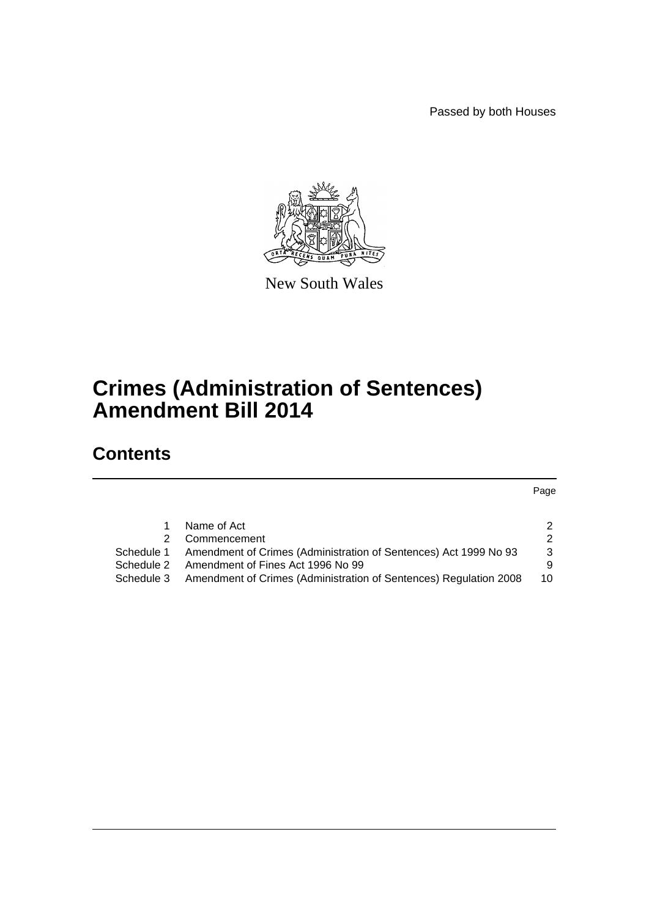Passed by both Houses



New South Wales

# **Crimes (Administration of Sentences) Amendment Bill 2014**

# **Contents**

Page

|            | Name of Act                                                                  | 2  |
|------------|------------------------------------------------------------------------------|----|
|            | 2 Commencement                                                               | 2  |
| Schedule 1 | Amendment of Crimes (Administration of Sentences) Act 1999 No 93             | -3 |
| Schedule 2 | Amendment of Fines Act 1996 No 99                                            | 9  |
|            | Schedule 3 Amendment of Crimes (Administration of Sentences) Regulation 2008 | 10 |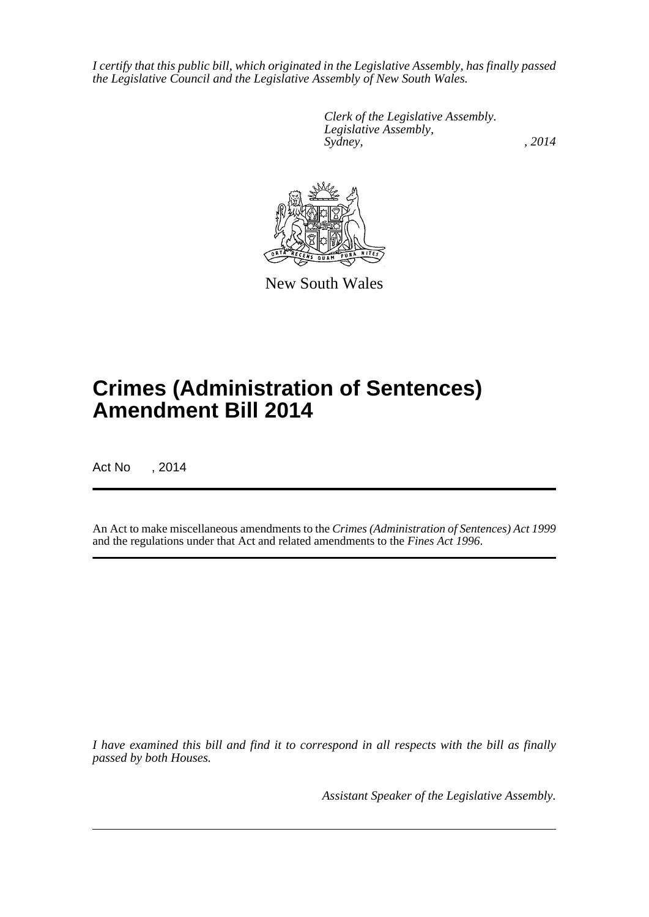*I certify that this public bill, which originated in the Legislative Assembly, has finally passed the Legislative Council and the Legislative Assembly of New South Wales.*

> *Clerk of the Legislative Assembly. Legislative Assembly, Sydney,* , 2014



New South Wales

# **Crimes (Administration of Sentences) Amendment Bill 2014**

Act No , 2014

An Act to make miscellaneous amendments to the *Crimes (Administration of Sentences) Act 1999* and the regulations under that Act and related amendments to the *Fines Act 1996*.

*I have examined this bill and find it to correspond in all respects with the bill as finally passed by both Houses.*

*Assistant Speaker of the Legislative Assembly.*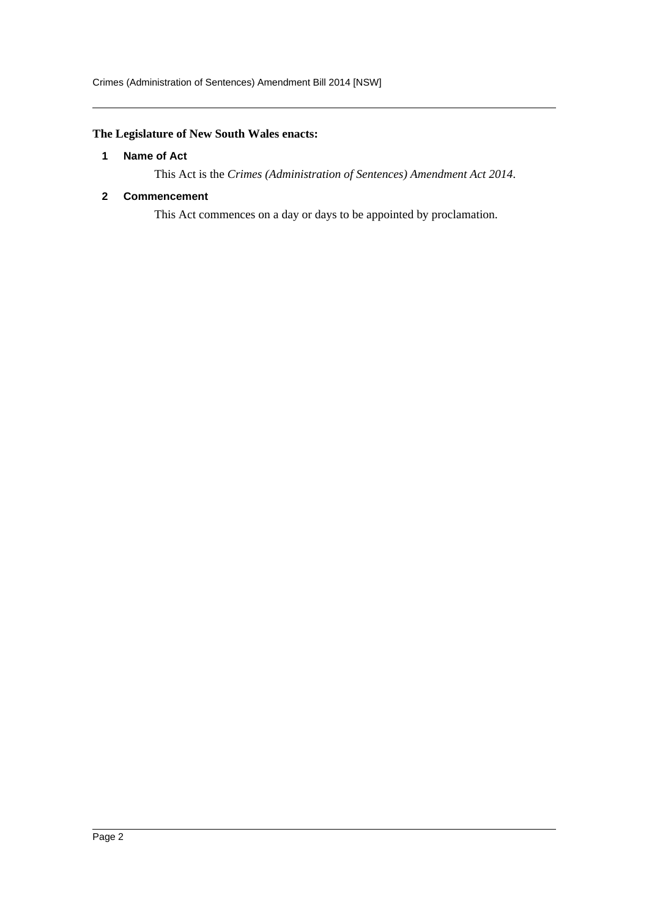# <span id="page-2-0"></span>**The Legislature of New South Wales enacts:**

# **1 Name of Act**

This Act is the *Crimes (Administration of Sentences) Amendment Act 2014*.

# <span id="page-2-1"></span>**2 Commencement**

This Act commences on a day or days to be appointed by proclamation.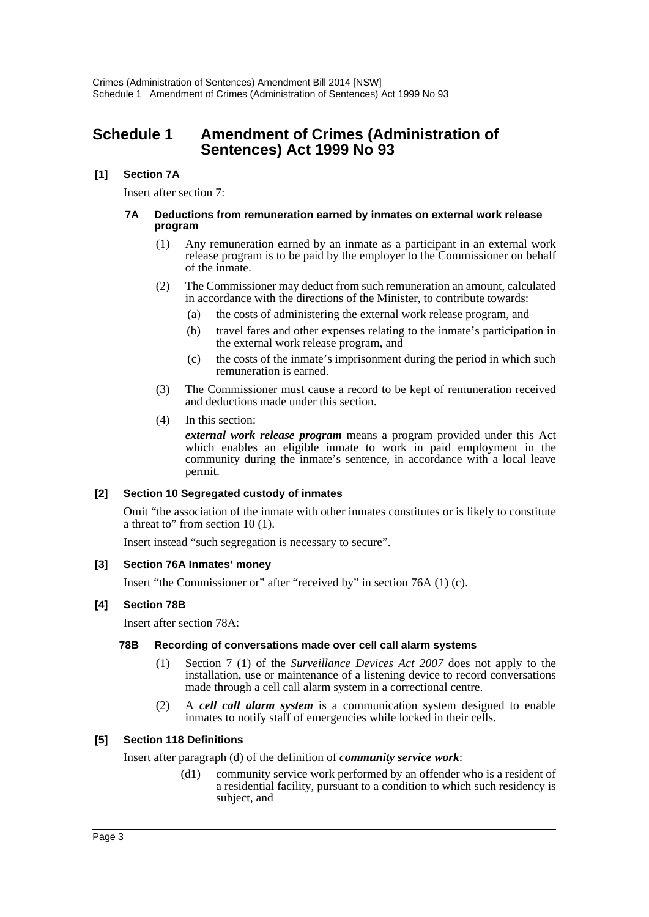# <span id="page-3-0"></span>**Schedule 1 Amendment of Crimes (Administration of Sentences) Act 1999 No 93**

# **[1] Section 7A**

Insert after section 7:

#### **7A Deductions from remuneration earned by inmates on external work release program**

- (1) Any remuneration earned by an inmate as a participant in an external work release program is to be paid by the employer to the Commissioner on behalf of the inmate.
- (2) The Commissioner may deduct from such remuneration an amount, calculated in accordance with the directions of the Minister, to contribute towards:
	- (a) the costs of administering the external work release program, and
	- (b) travel fares and other expenses relating to the inmate's participation in the external work release program, and
	- (c) the costs of the inmate's imprisonment during the period in which such remuneration is earned.
- (3) The Commissioner must cause a record to be kept of remuneration received and deductions made under this section.
- (4) In this section:

*external work release program* means a program provided under this Act which enables an eligible inmate to work in paid employment in the community during the inmate's sentence, in accordance with a local leave permit.

# **[2] Section 10 Segregated custody of inmates**

Omit "the association of the inmate with other inmates constitutes or is likely to constitute a threat to" from section 10 (1).

Insert instead "such segregation is necessary to secure".

# **[3] Section 76A Inmates' money**

Insert "the Commissioner or" after "received by" in section 76A (1) (c).

# **[4] Section 78B**

Insert after section 78A:

# **78B Recording of conversations made over cell call alarm systems**

- (1) Section 7 (1) of the *Surveillance Devices Act 2007* does not apply to the installation, use or maintenance of a listening device to record conversations made through a cell call alarm system in a correctional centre.
- (2) A *cell call alarm system* is a communication system designed to enable inmates to notify staff of emergencies while locked in their cells.

# **[5] Section 118 Definitions**

Insert after paragraph (d) of the definition of *community service work*:

(d1) community service work performed by an offender who is a resident of a residential facility, pursuant to a condition to which such residency is subject, and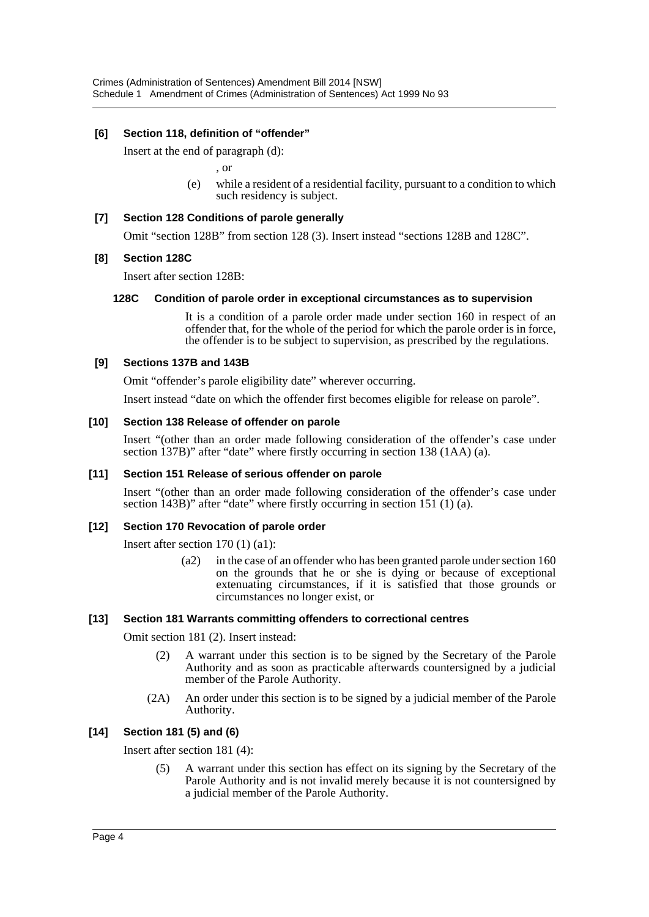# **[6] Section 118, definition of "offender"**

Insert at the end of paragraph (d):

, or

(e) while a resident of a residential facility, pursuant to a condition to which such residency is subject.

#### **[7] Section 128 Conditions of parole generally**

Omit "section 128B" from section 128 (3). Insert instead "sections 128B and 128C".

#### **[8] Section 128C**

Insert after section 128B:

#### **128C Condition of parole order in exceptional circumstances as to supervision**

It is a condition of a parole order made under section 160 in respect of an offender that, for the whole of the period for which the parole order is in force, the offender is to be subject to supervision, as prescribed by the regulations.

#### **[9] Sections 137B and 143B**

Omit "offender's parole eligibility date" wherever occurring.

Insert instead "date on which the offender first becomes eligible for release on parole".

#### **[10] Section 138 Release of offender on parole**

Insert "(other than an order made following consideration of the offender's case under section 137B)" after "date" where firstly occurring in section 138 (1AA) (a).

# **[11] Section 151 Release of serious offender on parole**

Insert "(other than an order made following consideration of the offender's case under section 143B)" after "date" where firstly occurring in section 151 (1) (a).

# **[12] Section 170 Revocation of parole order**

Insert after section 170 (1) (a1):

(a2) in the case of an offender who has been granted parole under section 160 on the grounds that he or she is dying or because of exceptional extenuating circumstances, if it is satisfied that those grounds or circumstances no longer exist, or

# **[13] Section 181 Warrants committing offenders to correctional centres**

Omit section 181 (2). Insert instead:

- (2) A warrant under this section is to be signed by the Secretary of the Parole Authority and as soon as practicable afterwards countersigned by a judicial member of the Parole Authority.
- (2A) An order under this section is to be signed by a judicial member of the Parole Authority.

# **[14] Section 181 (5) and (6)**

Insert after section 181 (4):

(5) A warrant under this section has effect on its signing by the Secretary of the Parole Authority and is not invalid merely because it is not countersigned by a judicial member of the Parole Authority.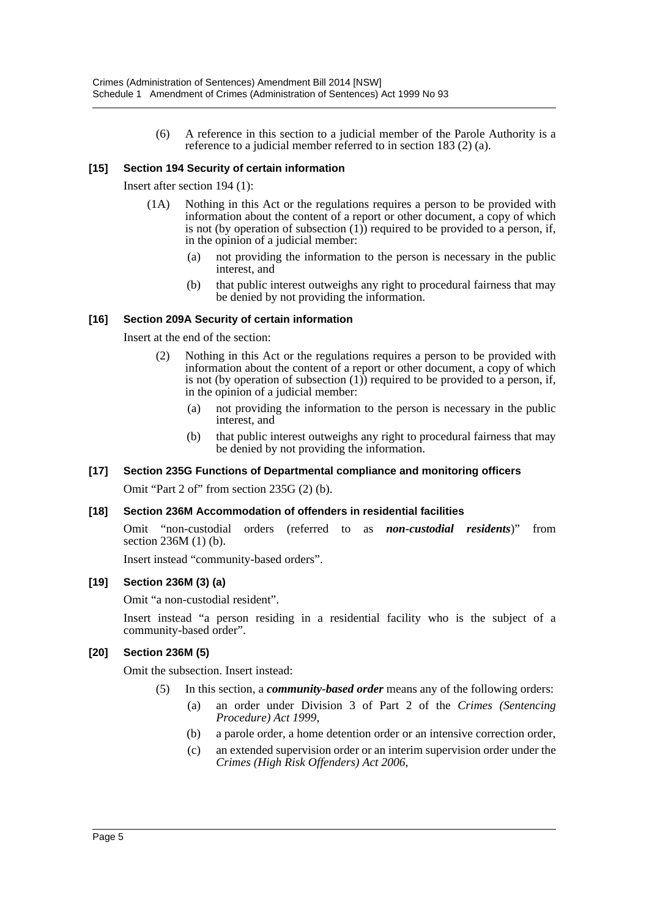(6) A reference in this section to a judicial member of the Parole Authority is a reference to a judicial member referred to in section 183 (2) (a).

# **[15] Section 194 Security of certain information**

Insert after section 194 (1):

- (1A) Nothing in this Act or the regulations requires a person to be provided with information about the content of a report or other document, a copy of which is not (by operation of subsection (1)) required to be provided to a person, if, in the opinion of a judicial member:
	- (a) not providing the information to the person is necessary in the public interest, and
	- (b) that public interest outweighs any right to procedural fairness that may be denied by not providing the information.

# **[16] Section 209A Security of certain information**

Insert at the end of the section:

- (2) Nothing in this Act or the regulations requires a person to be provided with information about the content of a report or other document, a copy of which is not (by operation of subsection  $(1)$ ) required to be provided to a person, if, in the opinion of a judicial member:
	- (a) not providing the information to the person is necessary in the public interest, and
	- (b) that public interest outweighs any right to procedural fairness that may be denied by not providing the information.

# **[17] Section 235G Functions of Departmental compliance and monitoring officers**

Omit "Part 2 of" from section 235G (2) (b).

# **[18] Section 236M Accommodation of offenders in residential facilities**

Omit "non-custodial orders (referred to as *non-custodial residents*)" from section 236M (1) (b).

Insert instead "community-based orders".

# **[19] Section 236M (3) (a)**

Omit "a non-custodial resident".

Insert instead "a person residing in a residential facility who is the subject of a community-based order".

# **[20] Section 236M (5)**

Omit the subsection. Insert instead:

- (5) In this section, a *community-based order* means any of the following orders:
	- (a) an order under Division 3 of Part 2 of the *Crimes (Sentencing Procedure) Act 1999*,
	- (b) a parole order, a home detention order or an intensive correction order,
	- (c) an extended supervision order or an interim supervision order under the *Crimes (High Risk Offenders) Act 2006*,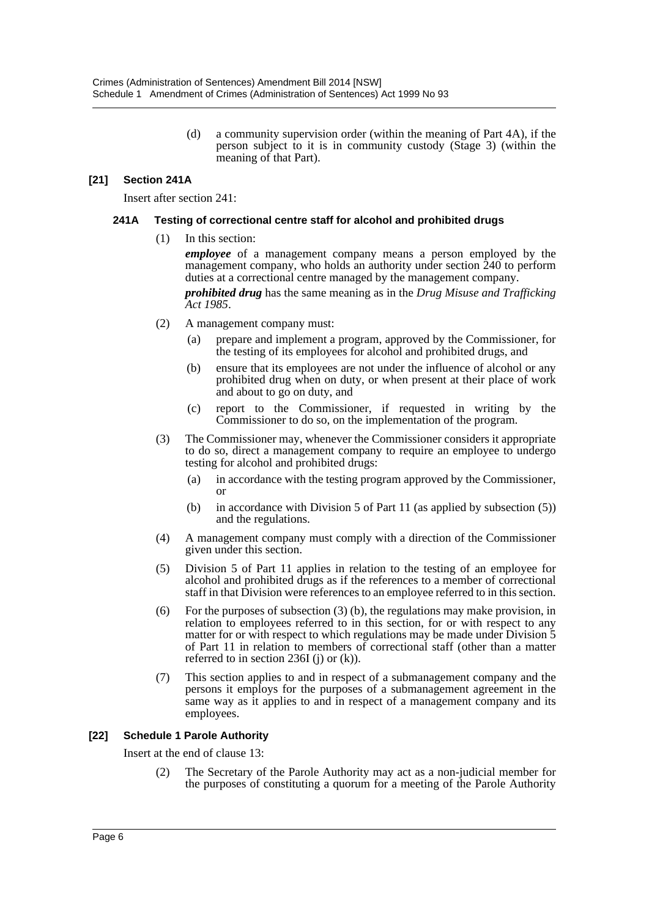(d) a community supervision order (within the meaning of Part 4A), if the person subject to it is in community custody (Stage 3) (within the meaning of that Part).

# **[21] Section 241A**

Insert after section 241:

# **241A Testing of correctional centre staff for alcohol and prohibited drugs**

(1) In this section:

*employee* of a management company means a person employed by the management company, who holds an authority under section 240 to perform duties at a correctional centre managed by the management company. *prohibited drug* has the same meaning as in the *Drug Misuse and Trafficking Act 1985*.

- (2) A management company must:
	- (a) prepare and implement a program, approved by the Commissioner, for the testing of its employees for alcohol and prohibited drugs, and
	- (b) ensure that its employees are not under the influence of alcohol or any prohibited drug when on duty, or when present at their place of work and about to go on duty, and
	- (c) report to the Commissioner, if requested in writing by the Commissioner to do so, on the implementation of the program.
- (3) The Commissioner may, whenever the Commissioner considers it appropriate to do so, direct a management company to require an employee to undergo testing for alcohol and prohibited drugs:
	- (a) in accordance with the testing program approved by the Commissioner, or
	- (b) in accordance with Division 5 of Part 11 (as applied by subsection (5)) and the regulations.
- (4) A management company must comply with a direction of the Commissioner given under this section.
- (5) Division 5 of Part 11 applies in relation to the testing of an employee for alcohol and prohibited drugs as if the references to a member of correctional staff in that Division were references to an employee referred to in this section.
- (6) For the purposes of subsection (3) (b), the regulations may make provision, in relation to employees referred to in this section, for or with respect to any matter for or with respect to which regulations may be made under Division 5 of Part 11 in relation to members of correctional staff (other than a matter referred to in section 236I (j) or  $(k)$ ).
- (7) This section applies to and in respect of a submanagement company and the persons it employs for the purposes of a submanagement agreement in the same way as it applies to and in respect of a management company and its employees.

# **[22] Schedule 1 Parole Authority**

Insert at the end of clause 13:

(2) The Secretary of the Parole Authority may act as a non-judicial member for the purposes of constituting a quorum for a meeting of the Parole Authority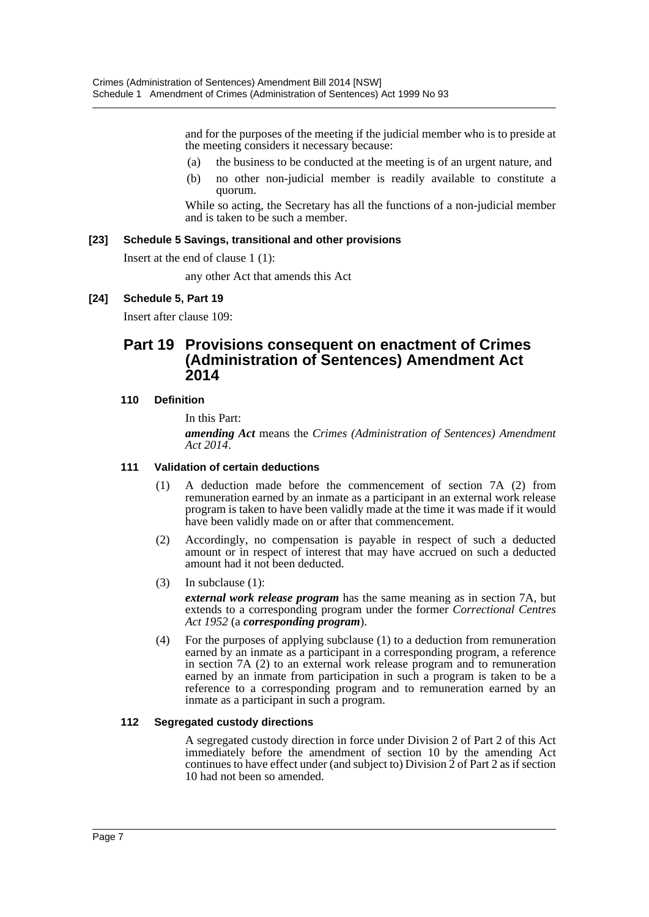and for the purposes of the meeting if the judicial member who is to preside at the meeting considers it necessary because:

- (a) the business to be conducted at the meeting is of an urgent nature, and
- (b) no other non-judicial member is readily available to constitute a quorum.

While so acting, the Secretary has all the functions of a non-judicial member and is taken to be such a member.

# **[23] Schedule 5 Savings, transitional and other provisions**

Insert at the end of clause 1 (1):

any other Act that amends this Act

# **[24] Schedule 5, Part 19**

Insert after clause 109:

# **Part 19 Provisions consequent on enactment of Crimes (Administration of Sentences) Amendment Act 2014**

# **110 Definition**

In this Part: *amending Act* means the *Crimes (Administration of Sentences) Amendment Act 2014*.

# **111 Validation of certain deductions**

- (1) A deduction made before the commencement of section 7A (2) from remuneration earned by an inmate as a participant in an external work release program is taken to have been validly made at the time it was made if it would have been validly made on or after that commencement.
- (2) Accordingly, no compensation is payable in respect of such a deducted amount or in respect of interest that may have accrued on such a deducted amount had it not been deducted.
- (3) In subclause (1):

*external work release program* has the same meaning as in section 7A, but extends to a corresponding program under the former *Correctional Centres Act 1952* (a *corresponding program*).

(4) For the purposes of applying subclause (1) to a deduction from remuneration earned by an inmate as a participant in a corresponding program, a reference in section 7A (2) to an external work release program and to remuneration earned by an inmate from participation in such a program is taken to be a reference to a corresponding program and to remuneration earned by an inmate as a participant in such a program.

# **112 Segregated custody directions**

A segregated custody direction in force under Division 2 of Part 2 of this Act immediately before the amendment of section 10 by the amending Act continues to have effect under (and subject to) Division 2 of Part 2 as if section 10 had not been so amended.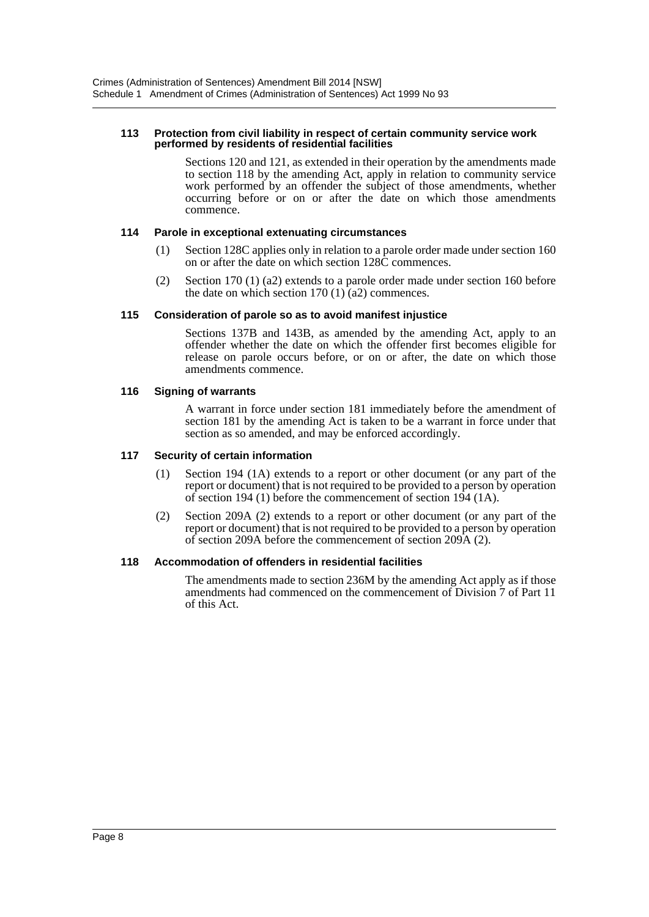#### **113 Protection from civil liability in respect of certain community service work performed by residents of residential facilities**

Sections 120 and 121, as extended in their operation by the amendments made to section 118 by the amending Act, apply in relation to community service work performed by an offender the subject of those amendments, whether occurring before or on or after the date on which those amendments commence.

#### **114 Parole in exceptional extenuating circumstances**

- (1) Section 128C applies only in relation to a parole order made under section 160 on or after the date on which section 128C commences.
- (2) Section 170 (1) (a2) extends to a parole order made under section 160 before the date on which section 170  $(1)$   $(2)$  commences.

#### **115 Consideration of parole so as to avoid manifest injustice**

Sections 137B and 143B, as amended by the amending Act, apply to an offender whether the date on which the offender first becomes eligible for release on parole occurs before, or on or after, the date on which those amendments commence.

#### **116 Signing of warrants**

A warrant in force under section 181 immediately before the amendment of section 181 by the amending Act is taken to be a warrant in force under that section as so amended, and may be enforced accordingly.

#### **117 Security of certain information**

- (1) Section 194 (1A) extends to a report or other document (or any part of the report or document) that is not required to be provided to a person by operation of section 194 (1) before the commencement of section 194 (1A).
- (2) Section 209A (2) extends to a report or other document (or any part of the report or document) that is not required to be provided to a person by operation of section 209A before the commencement of section 209A (2).

# **118 Accommodation of offenders in residential facilities**

The amendments made to section 236M by the amending Act apply as if those amendments had commenced on the commencement of Division 7 of Part 11 of this Act.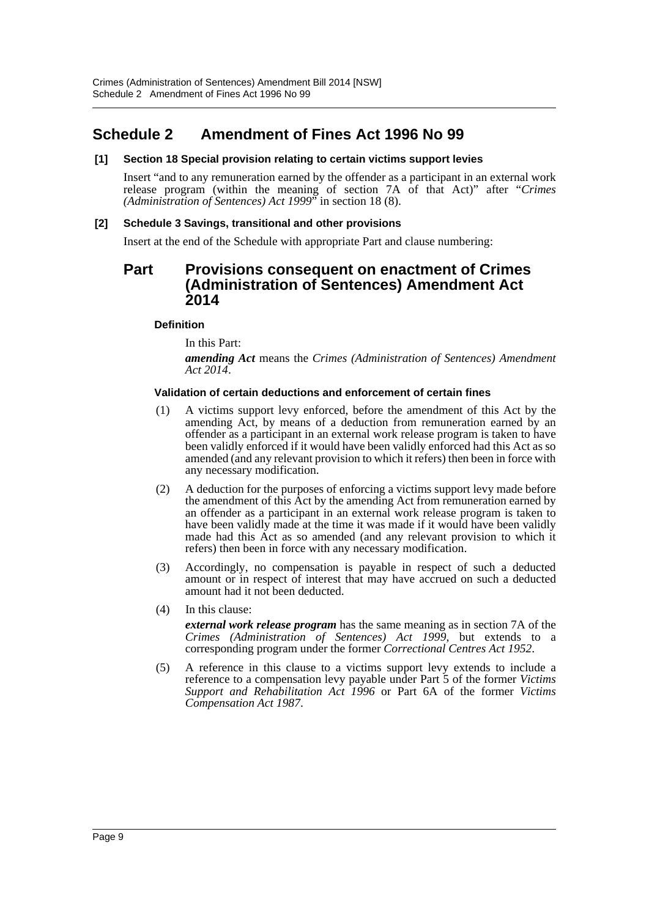# <span id="page-9-0"></span>**Schedule 2 Amendment of Fines Act 1996 No 99**

# **[1] Section 18 Special provision relating to certain victims support levies**

Insert "and to any remuneration earned by the offender as a participant in an external work release program (within the meaning of section 7A of that Act)" after "*Crimes (Administration of Sentences) Act 1999*" in section 18 (8).

# **[2] Schedule 3 Savings, transitional and other provisions**

Insert at the end of the Schedule with appropriate Part and clause numbering:

# **Part Provisions consequent on enactment of Crimes (Administration of Sentences) Amendment Act 2014**

#### **Definition**

In this Part:

*amending Act* means the *Crimes (Administration of Sentences) Amendment Act 2014*.

#### **Validation of certain deductions and enforcement of certain fines**

- (1) A victims support levy enforced, before the amendment of this Act by the amending Act, by means of a deduction from remuneration earned by an offender as a participant in an external work release program is taken to have been validly enforced if it would have been validly enforced had this Act as so amended (and any relevant provision to which it refers) then been in force with any necessary modification.
- (2) A deduction for the purposes of enforcing a victims support levy made before the amendment of this Act by the amending Act from remuneration earned by an offender as a participant in an external work release program is taken to have been validly made at the time it was made if it would have been validly made had this Act as so amended (and any relevant provision to which it refers) then been in force with any necessary modification.
- (3) Accordingly, no compensation is payable in respect of such a deducted amount or in respect of interest that may have accrued on such a deducted amount had it not been deducted.
- (4) In this clause: *external work release program* has the same meaning as in section 7A of the *Crimes (Administration of Sentences) Act 1999*, but extends to a corresponding program under the former *Correctional Centres Act 1952*.
- (5) A reference in this clause to a victims support levy extends to include a reference to a compensation levy payable under Part 5 of the former *Victims Support and Rehabilitation Act 1996* or Part 6A of the former *Victims Compensation Act 1987*.